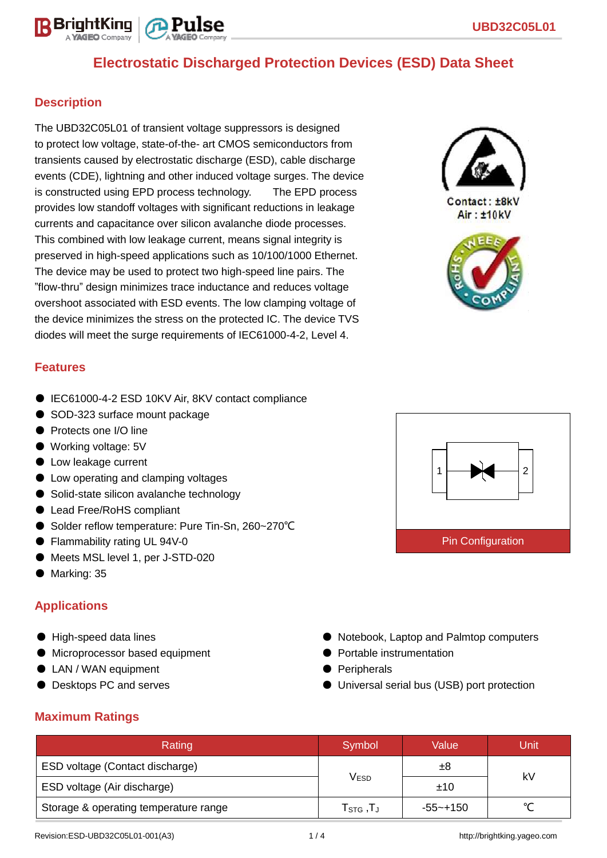# **Electrostatic Discharged Protection Devices (ESD) Data Sheet**

#### **Description**

The UBD32C05L01 of transient voltage suppressors is designed to protect low voltage, state-of-the- art CMOS semiconductors from transients caused by electrostatic discharge (ESD), cable discharge events (CDE), lightning and other induced voltage surges. The device is constructed using EPD process technology. The EPD process provides low standoff voltages with significant reductions in leakage currents and capacitance over silicon avalanche diode processes. This combined with low leakage current, means signal integrity is preserved in high-speed applications such as 10/100/1000 Ethernet. The device may be used to protect two high-speed line pairs. The "flow-thru" design minimizes trace inductance and reduces voltage overshoot associated with ESD events. The low clamping voltage of the device minimizes the stress on the protected IC. The device TVS diodes will meet the surge requirements of IEC61000-4-2, Level 4.



Contact: ±8kV Air: ±10kV



#### **Features**

- IEC61000-4-2 ESD 10KV Air, 8KV contact compliance
- SOD-323 surface mount package
- Protects one I/O line
- Working voltage: 5V
- Low leakage current
- Low operating and clamping voltages
- Solid-state silicon avalanche technology
- Lead Free/RoHS compliant
- Solder reflow temperature: Pure Tin-Sn, 260~270°C
- Flammability rating UL 94V-0
- Meets MSL level 1, per J-STD-020
- Marking: 35

# **Applications**

- High-speed data lines
- Microprocessor based equipment
- LAN / WAN equipment
- Desktops PC and serves



- Notebook, Laptop and Palmtop computers
- Portable instrumentation
- Peripherals
- Universal serial bus (USB) port protection

#### **Maximum Ratings**

| Rating                                | Symbol                                                    | Value    | Unit |  |
|---------------------------------------|-----------------------------------------------------------|----------|------|--|
| ESD voltage (Contact discharge)       |                                                           | ±8       | kV   |  |
| ESD voltage (Air discharge)           | V <sub>ESD</sub>                                          | ±10      |      |  |
| Storage & operating temperature range | ${\mathsf T}_{\texttt{STG}}\,, {\mathsf T}_{\mathsf J}\,$ | -55~+150 |      |  |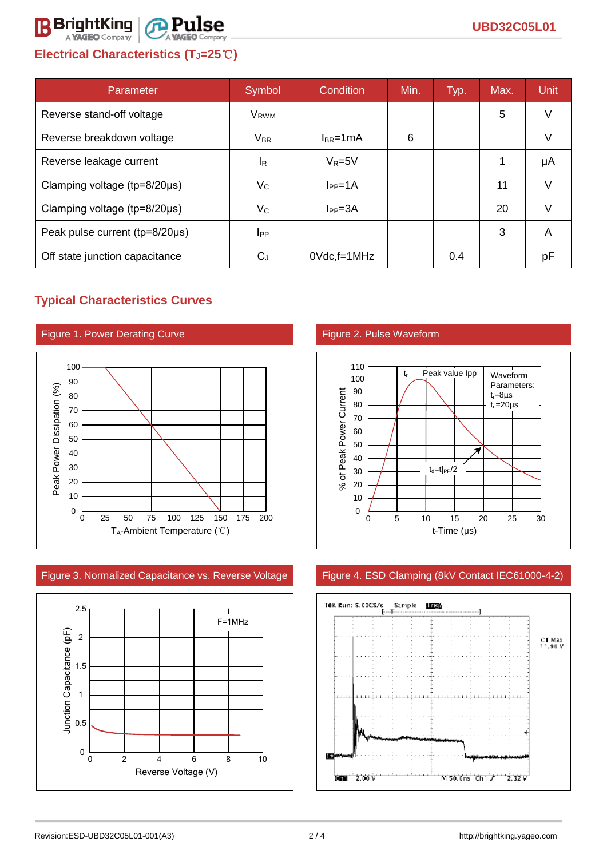# **Electrical Characteristics (TJ=25**℃**)**

| Parameter                              | Symbol                 | Condition       | Min. | Typ. | Max. | <b>Unit</b> |
|----------------------------------------|------------------------|-----------------|------|------|------|-------------|
| Reverse stand-off voltage              | V <sub>RWM</sub>       |                 |      |      | 5    | V           |
| Reverse breakdown voltage              | $V_{BR}$               | $I_{BR}$ =1mA   | 6    |      |      | V           |
| Reverse leakage current                | <sup>IR</sup>          | $V_R = 5V$      |      |      |      | μA          |
| Clamping voltage ( $tp = 8/20 \mu s$ ) | $V_{\rm C}$            | $I_{PP} = 1A$   |      |      | 11   | V           |
| Clamping voltage ( $tp = 8/20 \mu s$ ) | $V_C$                  | $I_{PP} = 3A$   |      |      | 20   |             |
| Peak pulse current (tp=8/20µs)         | <b>I</b> <sub>PP</sub> |                 |      |      | 3    | A           |
| Off state junction capacitance         | $C_J$                  | $0$ Vdc, f=1MHz |      | 0.4  |      | рF          |

# **Typical Characteristics Curves**



Figure 3. Normalized Capacitance vs. Reverse Voltage Figure 4. ESD Clamping (8kV Contact IEC61000-4-2)





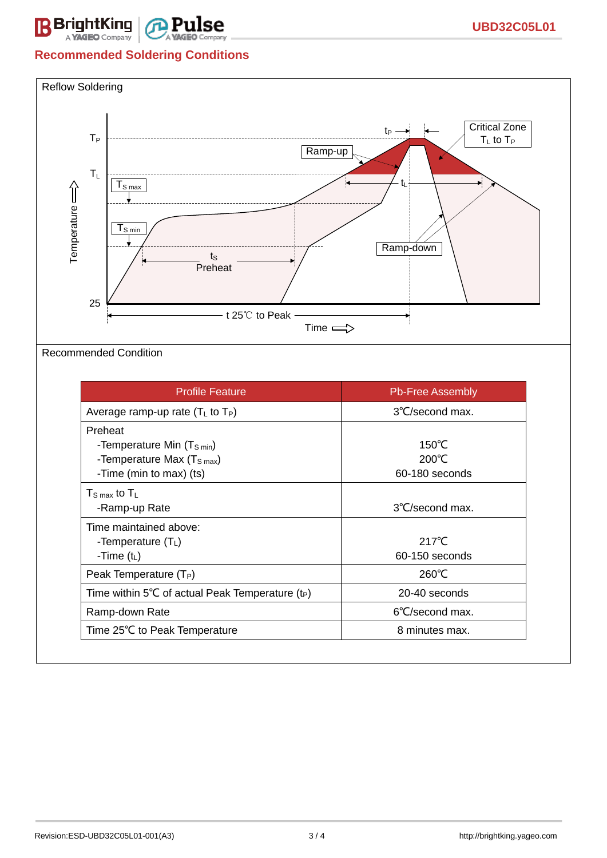

#### **Recommended Soldering Conditions**